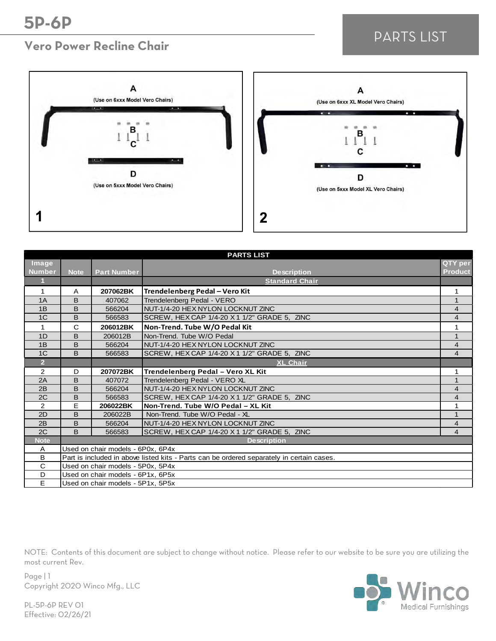## **Vero Power Recline Chair**

# PARTS LIST





| <b>PARTS LIST</b> |                                                                                           |                                   |                                              |                         |  |
|-------------------|-------------------------------------------------------------------------------------------|-----------------------------------|----------------------------------------------|-------------------------|--|
| Image             |                                                                                           |                                   |                                              | QTY per                 |  |
| <b>Number</b>     | <b>Note</b>                                                                               | <b>Part Number</b>                | <b>Description</b>                           | <b>Product</b>          |  |
|                   |                                                                                           |                                   | <b>Standard Chair</b>                        |                         |  |
| $\mathbf 1$       | A                                                                                         | 207062BK                          | Trendelenberg Pedal - Vero Kit               | 1                       |  |
| 1A                | B                                                                                         | 407062                            | Trendelenberg Pedal - VERO                   | 1                       |  |
| 1B                | B                                                                                         | 566204                            | NUT-1/4-20 HEX NYLON LOCKNUT ZINC            | $\overline{4}$          |  |
| 1 <sup>C</sup>    | B                                                                                         | 566583                            | SCREW, HEX CAP 1/4-20 X 1 1/2" GRADE 5, ZINC | $\overline{4}$          |  |
| 1                 | $\mathsf{C}$                                                                              | 206012BK                          | Non-Trend. Tube W/O Pedal Kit                | 1                       |  |
| 1D                | B                                                                                         | 206012B                           | Non-Trend. Tube W/O Pedal                    | $\mathbf{1}$            |  |
| 1B                | B                                                                                         | 566204                            | NUT-1/4-20 HEX NYLON LOCKNUT ZINC            | $\overline{4}$          |  |
| 1 <sup>C</sup>    | B                                                                                         | 566583                            | SCREW, HEX CAP 1/4-20 X 1 1/2" GRADE 5, ZINC | $\overline{4}$          |  |
| $\overline{2}$    |                                                                                           |                                   | <b>XL Chair</b>                              |                         |  |
| 2                 | D                                                                                         | 207072BK                          | Trendelenberg Pedal - Vero XL Kit            | 1                       |  |
| 2A                | B                                                                                         | 407072                            | Trendelenberg Pedal - VERO XL                | $\mathbf{1}$            |  |
| 2B                | B                                                                                         | 566204                            | NUT-1/4-20 HEX NYLON LOCKNUT ZINC            | $\overline{4}$          |  |
| 2C                | B                                                                                         | 566583                            | SCREW, HEX CAP 1/4-20 X 1 1/2" GRADE 5, ZINC | 4                       |  |
| 2                 | E                                                                                         | 206022BK                          | Non-Trend. Tube W/O Pedal - XL Kit           | 1                       |  |
| 2D                | B                                                                                         | 206022B                           | Non-Trend. Tube W/O Pedal - XL               | $\mathbf{1}$            |  |
| 2B                | B                                                                                         | 566204                            | NUT-1/4-20 HEX NYLON LOCKNUT ZINC            | $\overline{4}$          |  |
| 2C                | B                                                                                         | 566583                            | SCREW, HEX CAP 1/4-20 X 1 1/2" GRADE 5, ZINC | $\overline{\mathbf{4}}$ |  |
| <b>Note</b>       |                                                                                           |                                   | <b>Description</b>                           |                         |  |
| A                 |                                                                                           | Used on chair models - 6P0x, 6P4x |                                              |                         |  |
| B                 | Part is included in above listed kits - Parts can be ordered separately in certain cases. |                                   |                                              |                         |  |
| C                 |                                                                                           | Used on chair models - 5P0x, 5P4x |                                              |                         |  |
| D                 |                                                                                           | Used on chair models - 6P1x, 6P5x |                                              |                         |  |
| E                 |                                                                                           | Used on chair models - 5P1x, 5P5x |                                              |                         |  |

NOTE: Contents of this document are subject to change without notice. Please refer to our website to be sure you are utilizing the most current Rev.



Page | 1 Copyright 2020 Winco Mfg., LLC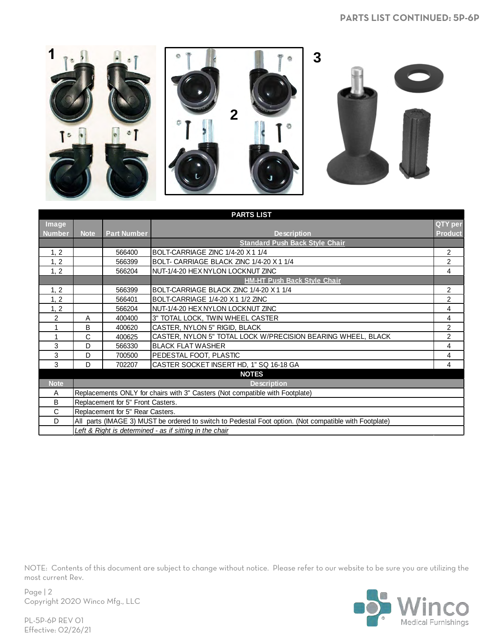#### **PARTS LIST CONTINUED: 5P-6P**



|               | <b>PARTS LIST</b>                 |                                  |                                                                                                        |                |  |  |
|---------------|-----------------------------------|----------------------------------|--------------------------------------------------------------------------------------------------------|----------------|--|--|
| <b>Image</b>  |                                   |                                  |                                                                                                        | QTY per        |  |  |
| <b>Number</b> | <b>Note</b>                       | <b>Part Number</b>               | <b>Description</b>                                                                                     | <b>Product</b> |  |  |
|               |                                   |                                  | <b>Standard Push Back Style Chair</b>                                                                  |                |  |  |
| 1, 2          |                                   | 566400                           | BOLT-CARRIAGE ZINC 1/4-20 X 1 1/4                                                                      | $\overline{2}$ |  |  |
| 1, 2          |                                   | 566399                           | BOLT- CARRIAGE BLACK ZINC 1/4-20 X 1 1/4                                                               | $\overline{2}$ |  |  |
| 1, 2          |                                   | 566204                           | NUT-1/4-20 HEX NYLON LOCKNUT ZINC                                                                      | $\overline{4}$ |  |  |
|               |                                   |                                  | <b>HM-HT Push Back Style Chair</b>                                                                     |                |  |  |
| 1, 2          |                                   | 566399                           | BOLT-CARRIAGE BLACK ZINC 1/4-20 X 1 1/4                                                                | 2              |  |  |
| 1, 2          |                                   | 566401                           | BOLT-CARRIAGE 1/4-20 X 1 1/2 ZINC                                                                      | 2              |  |  |
| 1, 2          |                                   | 566204                           | NUT-1/4-20 HEX NYLON LOCKNUT ZINC                                                                      | 4              |  |  |
| 2             | A                                 | 400400                           | 3" TOTAL LOCK, TWIN WHEEL CASTER                                                                       | 4              |  |  |
| 1             | B                                 | 400620                           | CASTER, NYLON 5" RIGID, BLACK                                                                          | 2              |  |  |
| 1             | C                                 | 400625                           | CASTER, NYLON 5" TOTAL LOCK W/PRECISION BEARING WHEEL, BLACK                                           | $\overline{2}$ |  |  |
| 3             | D                                 | 566330                           | <b>BLACK FLAT WASHER</b>                                                                               | 4              |  |  |
| 3             | D                                 | 700500                           | PEDESTAL FOOT, PLASTIC                                                                                 | 4              |  |  |
| 3             | D                                 | 702207                           | CASTER SOCKET INSERT HD, 1" SQ 16-18 GA                                                                | 4              |  |  |
|               |                                   |                                  | <b>NOTES</b>                                                                                           |                |  |  |
| <b>Note</b>   |                                   |                                  | <b>Description</b>                                                                                     |                |  |  |
| A             |                                   |                                  | Replacements ONLY for chairs with 3" Casters (Not compatible with Footplate)                           |                |  |  |
| B             | Replacement for 5" Front Casters. |                                  |                                                                                                        |                |  |  |
| C             |                                   | Replacement for 5" Rear Casters. |                                                                                                        |                |  |  |
| D             |                                   |                                  | All parts (IMAGE 3) MUST be ordered to switch to Pedestal Foot option. (Not compatible with Footplate) |                |  |  |
|               |                                   |                                  | Left & Right is determined - as if sitting in the chair                                                |                |  |  |

NOTE: Contents of this document are subject to change without notice. Please refer to our website to be sure you are utilizing the most current Rev.



Page | 2 Copyright 2020 Winco Mfg., LLC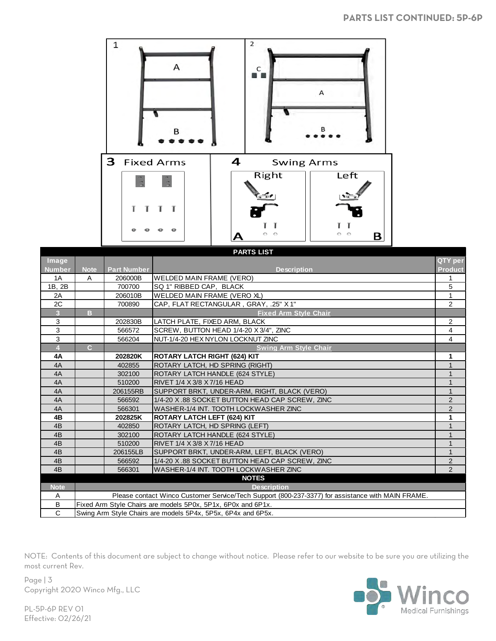

| PARTS LIST     |                |                    |                                                                                                   |                |  |
|----------------|----------------|--------------------|---------------------------------------------------------------------------------------------------|----------------|--|
| Image          |                |                    |                                                                                                   | QTY per        |  |
| <b>Number</b>  | <b>Note</b>    | <b>Part Number</b> | <b>Description</b>                                                                                | <b>Product</b> |  |
| 1A             | A              | 206000B            | WELDED MAIN FRAME (VERO)                                                                          |                |  |
| 1B, 2B         |                | 700700             | SQ 1" RIBBED CAP, BLACK                                                                           | 5              |  |
| 2A             |                | 206010B            | WELDED MAIN FRAME (VERO XL)                                                                       | 1              |  |
| 2C             |                | 700890             | CAP, FLAT RECTANGULAR, GRAY, .25" X1"                                                             | $\overline{2}$ |  |
| $\overline{3}$ | B.             |                    | <b>Fixed Arm Style Chair</b>                                                                      |                |  |
| 3              |                | 202830B            | LATCH PLATE, FIXED ARM, BLACK                                                                     | $\overline{2}$ |  |
| 3              |                | 566572             | SCREW, BUTTON HEAD 1/4-20 X 3/4", ZINC                                                            | 4              |  |
| 3              |                | 566204             | NUT-1/4-20 HEX NYLON LOCKNUT ZINC                                                                 | 4              |  |
| 4              | $\overline{C}$ |                    | <b>Swing Arm Style Chair</b>                                                                      |                |  |
| 4A             |                | 202820K            | ROTARY LATCH RIGHT (624) KIT                                                                      |                |  |
| 4A             |                | 402855             | ROTARY LATCH, HD SPRING (RIGHT)                                                                   |                |  |
| 4A             |                | 302100             | ROTARY LATCH HANDLE (624 STYLE)                                                                   |                |  |
| 4A             |                | 510200             | RIVET 1/4 X 3/8 X 7/16 HEAD                                                                       |                |  |
| 4A             |                | 206155RB           | SUPPORT BRKT, UNDER-ARM, RIGHT, BLACK (VERO)                                                      | $\mathbf{1}$   |  |
| 4A             |                | 566592             | 1/4-20 X.88 SOCKET BUTTON HEAD CAP SCREW, ZINC                                                    | $\overline{2}$ |  |
| 4A             |                | 566301             | WASHER-1/4 INT. TOOTH LOCKWASHER ZINC                                                             | $\overline{2}$ |  |
| 4B             |                | 202825K            | <b>ROTARY LATCH LEFT (624) KIT</b>                                                                |                |  |
| 4 <sub>B</sub> |                | 402850             | ROTARY LATCH, HD SPRING (LEFT)                                                                    |                |  |
| 4 <sub>B</sub> |                | 302100             | ROTARY LATCH HANDLE (624 STYLE)                                                                   |                |  |
| 4 <sub>B</sub> |                | 510200             | RIVET 1/4 X 3/8 X 7/16 HEAD                                                                       |                |  |
| 4 <sub>B</sub> |                | 206155LB           | SUPPORT BRKT, UNDER-ARM, LEFT, BLACK (VERO)                                                       | $\mathbf{1}$   |  |
| 4 <sub>B</sub> |                | 566592             | 1/4-20 X,88 SOCKET BUTTON HEAD CAP SCREW, ZINC                                                    | $\overline{2}$ |  |
| 4 <sub>B</sub> |                | 566301             | WASHER-1/4 INT. TOOTH LOCKWASHER ZINC                                                             | $\overline{2}$ |  |
|                |                |                    | <b>NOTES</b>                                                                                      |                |  |
| <b>Note</b>    |                |                    | <b>Description</b>                                                                                |                |  |
| A              |                |                    | Please contact Winco Customer Service/Tech Support (800-237-3377) for assistance with MAIN FRAME. |                |  |
| В              |                |                    | Fixed Arm Style Chairs are models 5P0x, 5P1x, 6P0x and 6P1x.                                      |                |  |
| $\mathsf{C}$   |                |                    | Swing Arm Style Chairs are models 5P4x, 5P5x, 6P4x and 6P5x.                                      |                |  |



Page | 3 Copyright 2020 Winco Mfg., LLC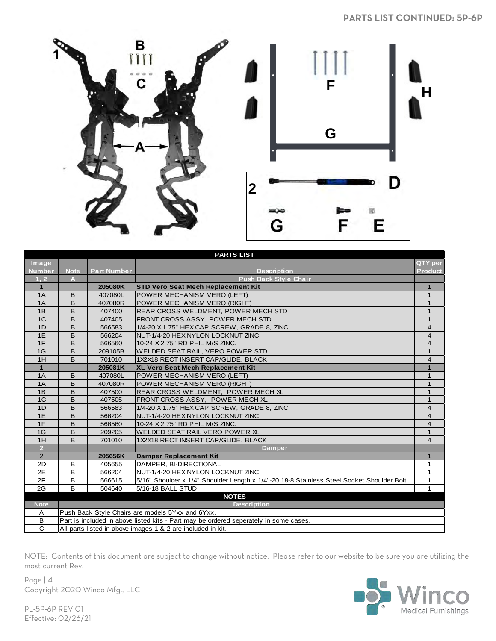

|                | <b>PARTS LIST</b> |                                                             |                                                                                           |                |  |  |
|----------------|-------------------|-------------------------------------------------------------|-------------------------------------------------------------------------------------------|----------------|--|--|
| Image          |                   |                                                             |                                                                                           | QTY per        |  |  |
| <b>Number</b>  | <b>Note</b>       | <b>Part Number</b>                                          | <b>Description</b>                                                                        | <b>Product</b> |  |  |
| 1, 2           | A                 |                                                             | <b>Push Back Style Chair</b>                                                              |                |  |  |
| $\mathbf{1}$   |                   | 205080K                                                     | <b>STD Vero Seat Mech Replacement Kit</b>                                                 |                |  |  |
| 1A             | B                 | 407080L                                                     | POWER MECHANISM VERO (LEFT)                                                               | 1              |  |  |
| 1A             | B                 | 407080R                                                     | POWER MECHANISM VERO (RIGHT)                                                              | $\mathbf{1}$   |  |  |
| 1B             | B                 | 407400                                                      | <b>REAR CROSS WELDMENT, POWER MECH STD</b>                                                | $\mathbf{1}$   |  |  |
| 1 <sup>C</sup> | B                 | 407405                                                      | FRONT CROSS ASSY, POWER MECH STD                                                          | $\mathbf{1}$   |  |  |
| 1D             | B                 | 566583                                                      | 1/4-20 X 1.75" HEX CAP SCREW, GRADE 8, ZINC                                               | $\overline{4}$ |  |  |
| 1E             | B                 | 566204                                                      | NUT-1/4-20 HEX NYLON LOCKNUT ZINC                                                         | $\overline{4}$ |  |  |
| 1F             | B                 | 566560                                                      | 10-24 X 2.75" RD PHIL M/S ZINC.                                                           | $\overline{4}$ |  |  |
| 1G             | B                 | 209105B                                                     | WELDED SEAT RAIL, VERO POWER STD                                                          | $\mathbf{1}$   |  |  |
| 1H             | B                 | 701010                                                      | 1X2X18 RECT INSERT CAP/GLIDE, BLACK                                                       | $\overline{4}$ |  |  |
| $\mathbf{1}$   |                   | 205081K                                                     | <b>XL Vero Seat Mech Replacement Kit</b>                                                  | $\mathbf{1}$   |  |  |
| 1A             | B                 | 407080L                                                     | POWER MECHANISM VERO (LEFT)                                                               | $\mathbf{1}$   |  |  |
| 1A             | B                 | 407080R                                                     | POWER MECHANISM VERO (RIGHT)                                                              | $\mathbf{1}$   |  |  |
| 1B             | B                 | 407500                                                      | <b>REAR CROSS WELDMENT. POWER MECH XL</b>                                                 | $\mathbf{1}$   |  |  |
| 1 <sup>C</sup> | B                 | 407505                                                      | FRONT CROSS ASSY, POWER MECH XL                                                           | $\mathbf{1}$   |  |  |
| 1D             | B                 | 566583                                                      | 1/4-20 X 1.75" HEX CAP SCREW, GRADE 8, ZINC                                               | $\overline{4}$ |  |  |
| 1E             | B                 | 566204                                                      | NUT-1/4-20 HEX NYLON LOCKNUT ZINC                                                         | $\overline{4}$ |  |  |
| 1F             | B                 | 566560                                                      | 10-24 X 2.75" RD PHIL M/S ZINC.                                                           | $\overline{4}$ |  |  |
| 1G             | B                 | 209205                                                      | WELDED SEAT RAIL VERO POWER XL                                                            | 1              |  |  |
| 1H             | B                 | 701010                                                      | 1X2X18 RECT INSERT CAP/GLIDE, BLACK                                                       | $\overline{4}$ |  |  |
| $\overline{2}$ |                   |                                                             | <b>Damper</b>                                                                             |                |  |  |
| $\overline{2}$ |                   | 205656K                                                     | <b>Damper Replacement Kit</b>                                                             | $\mathbf{1}$   |  |  |
| 2D             | B                 | 405655                                                      | DAMPER, BI-DIRECTIONAL                                                                    | 1              |  |  |
| 2E             | B                 | 566204                                                      | NUT-1/4-20 HEX NYLON LOCKNUT ZINC                                                         | 1              |  |  |
| 2F             | B                 | 566615                                                      | 5/16" Shoulder x 1/4" Shoulder Length x 1/4"-20 18-8 Stainless Steel Socket Shoulder Bolt | 1              |  |  |
| 2G             | B                 | 504640                                                      | 5/16-18 BALL STUD                                                                         |                |  |  |
|                |                   |                                                             | <b>NOTES</b>                                                                              |                |  |  |
| <b>Note</b>    |                   |                                                             | <b>Description</b>                                                                        |                |  |  |
| A              |                   |                                                             | Push Back Style Chairs are models 5Yxx and 6Yxx.                                          |                |  |  |
| B              |                   |                                                             | Part is included in above listed kits - Part may be ordered seperately in some cases.     |                |  |  |
| $\overline{c}$ |                   | All parts listed in above images 1 & 2 are included in kit. |                                                                                           |                |  |  |

Page | 4 Copyright 2020 Winco Mfg., LLC

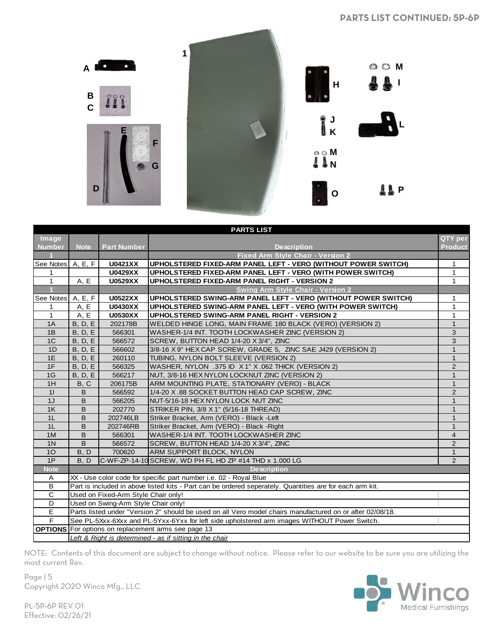

|                     | <b>PARTS LIST</b> |                                                         |                                                                                                           |                |  |  |  |
|---------------------|-------------------|---------------------------------------------------------|-----------------------------------------------------------------------------------------------------------|----------------|--|--|--|
| Image               |                   |                                                         |                                                                                                           | QTY per        |  |  |  |
| <b>Number</b>       | <b>Note</b>       | <b>Part Number</b>                                      | <b>Description</b>                                                                                        | <b>Product</b> |  |  |  |
|                     |                   |                                                         | <b>Fixed Arm Style Chair - Version 2</b>                                                                  |                |  |  |  |
| See Notes   A, E, F |                   | <b>U0421XX</b>                                          | UPHOLSTERED FIXED-ARM PANEL LEFT - VERO (WITHOUT POWER SWITCH)                                            | 1              |  |  |  |
| 1                   |                   | <b>U0429XX</b>                                          | UPHOLSTERED FIXED-ARM PANEL LEFT - VERO (WITH POWER SWITCH)                                               | 1              |  |  |  |
| $\mathbf{1}$        | A, E              | <b>U0529XX</b>                                          | <b>UPHOLSTERED FIXED-ARM PANEL RIGHT - VERSION 2</b>                                                      | $\mathbf{1}$   |  |  |  |
|                     |                   |                                                         | <b>Swing Arm Style Chair - Version 2</b>                                                                  |                |  |  |  |
| See Notes   A, E, F |                   | <b>U0522XX</b>                                          | UPHOLSTERED SWING-ARM PANEL LEFT - VERO (WITHOUT POWER SWITCH)                                            | 1              |  |  |  |
| 1                   | A, E              | <b>U0430XX</b>                                          | UPHOLSTERED SWING-ARM PANEL LEFT - VERO (WITH POWER SWITCH)                                               | $\mathbf{1}$   |  |  |  |
| $\mathbf{1}$        | A, E              | <b>U0530XX</b>                                          | UPHOLSTERED SWING-ARM PANEL RIGHT - VERSION 2                                                             | $\mathbf{1}$   |  |  |  |
| 1A                  | B, D, E           | 202178B                                                 | WELDED HINGE LONG, MAIN FRAME 180 BLACK (VERO) (VERSION 2)                                                | $\mathbf{1}$   |  |  |  |
| 1B                  | B, D, E           | 566301                                                  | WASHER-1/4 INT. TOOTH LOCKWASHER ZINC (VERSION 2)                                                         | 3              |  |  |  |
| 1 <sup>C</sup>      | <b>B</b> , D, E   | 566572                                                  | SCREW, BUTTON HEAD 1/4-20 X 3/4", ZINC                                                                    | 3              |  |  |  |
| 1D                  | <b>B</b> , D, E   | 566602                                                  | 3/8-16 X 9" HEX CAP SCREW, GRADE 5, ZINC SAE J429 (VERSION 2)                                             | $\mathbf{1}$   |  |  |  |
| 1E                  | <b>B</b> , D, E   | 260110                                                  | TUBING, NYLON BOLT SLEEVE (VERSION 2)                                                                     | $\mathbf{1}$   |  |  |  |
| 1F                  | <b>B</b> , D, E   | 566325                                                  | WASHER, NYLON .375 ID X 1" X .062 THICK (VERSION 2)                                                       | $\overline{2}$ |  |  |  |
| 1G                  | <b>B</b> , D, E   | 566217                                                  | NUT, 3/8-16 HEX NYLON LOCKNUT ZINC (VERSION 2)                                                            | $\mathbf{1}$   |  |  |  |
| 1H                  | B, C              | 206175B                                                 | ARM MOUNTING PLATE, STATIONARY (VERO) - BLACK                                                             | $\mathbf{1}$   |  |  |  |
| 11                  | B                 | 566592                                                  | 1/4-20 X.88 SOCKET BUTTON HEAD CAP SCREW, ZINC                                                            | $\overline{2}$ |  |  |  |
| 1J                  | B                 | 566205                                                  | NUT-5/16-18 HEX NYLON LOCK NUT ZINC                                                                       | $\mathbf{1}$   |  |  |  |
| 1K                  | B                 | 202770                                                  | STRIKER PIN, 3/8 X 1" (5/16-18 THREAD)                                                                    | $\mathbf{1}$   |  |  |  |
| 1L                  | B                 | 202746LB                                                | Striker Bracket, Arm (VERO) - Black - Left                                                                | $\mathbf{1}$   |  |  |  |
| 1L                  | B                 | 202746RB                                                | Striker Bracket, Arm (VERO) - Black - Right                                                               | $\mathbf{1}$   |  |  |  |
| 1M                  | B                 | 566301                                                  | WASHER-1/4 INT. TOOTH LOCKWASHER ZINC                                                                     | $\overline{4}$ |  |  |  |
| 1 <sup>N</sup>      | B                 | 566572                                                  | SCREW, BUTTON HEAD 1/4-20 X 3/4", ZINC                                                                    | $\overline{2}$ |  |  |  |
| 10 <sup>°</sup>     | B, D              | 700620                                                  | <b>ARM SUPPORT BLOCK, NYLON</b>                                                                           | $\mathbf{1}$   |  |  |  |
| 1P                  | B.D               |                                                         | C-WF-ZP-14-10 SCREW, WD PH FL HD ZP #14 THD x 1.000 LG                                                    | 2              |  |  |  |
| <b>Note</b>         |                   |                                                         | <b>Description</b>                                                                                        |                |  |  |  |
| A                   |                   |                                                         | XX - Use color code for specific part number i.e. 02 - Royal Blue                                         |                |  |  |  |
| в                   |                   |                                                         | Part is included in above listed kits - Part can be ordered seperately. Quantities are for each arm kit.  |                |  |  |  |
| $\mathbf C$         |                   | Used on Fixed-Arm Style Chair only!                     |                                                                                                           |                |  |  |  |
| D                   |                   | Used on Swing-Arm Style Chair only!                     |                                                                                                           |                |  |  |  |
| E                   |                   |                                                         | Parts listed under "Version 2" should be used on all Vero model chairs manufactured on or after 02/08/18. |                |  |  |  |
| F                   |                   |                                                         | See PL-5Xxx-6Xxx and PL-5Yxx-6Yxx for left side upholstered arm images WITHOUT Power Switch.              |                |  |  |  |
|                     |                   |                                                         | <b>OPTIONS</b> For options on replacement arms see page 13                                                |                |  |  |  |
|                     |                   | Left & Right is determined - as if sitting in the chair |                                                                                                           |                |  |  |  |

Page | 5 Copyright 2020 Winco Mfg., LLC

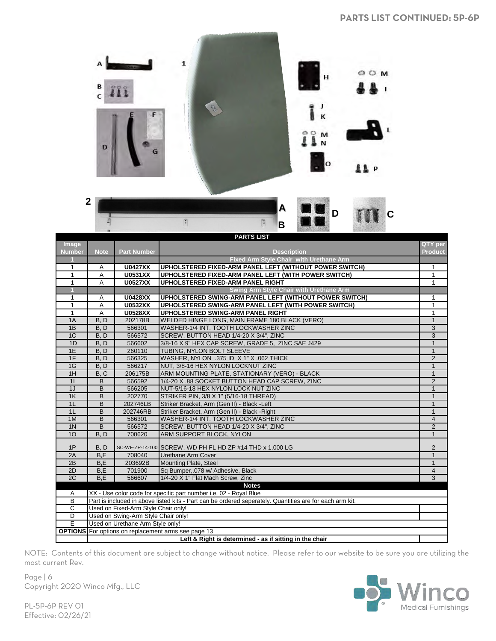

|                | <b>PARTS LIST</b>  |                                                         |                                                                                                          |                |  |  |  |
|----------------|--------------------|---------------------------------------------------------|----------------------------------------------------------------------------------------------------------|----------------|--|--|--|
| Image          |                    |                                                         |                                                                                                          | QTY per        |  |  |  |
| <b>Number</b>  | <b>Note</b>        | <b>Part Number</b>                                      | <b>Description</b>                                                                                       | <b>Product</b> |  |  |  |
|                |                    |                                                         | <b>Fixed Arm Style Chair with Urethane Arm</b>                                                           |                |  |  |  |
| 1              | A                  | <b>U0427XX</b>                                          | UPHOLSTERED FIXED-ARM PANEL LEFT (WITHOUT POWER SWITCH)                                                  | 1              |  |  |  |
| $\overline{1}$ | A                  | <b>U0531XX</b>                                          | UPHOLSTERED FIXED-ARM PANEL LEFT (WITH POWER SWITCH)                                                     | $\mathbf{1}$   |  |  |  |
| $\mathbf{1}$   | A                  | <b>U0527XX</b>                                          | UPHOLSTERED FIXED-ARM PANEL RIGHT                                                                        | $\mathbf{1}$   |  |  |  |
|                |                    |                                                         | Swing Arm Style Chair with Urethane Arm                                                                  |                |  |  |  |
| $\mathbf{1}$   | A                  | <b>U0428XX</b>                                          | UPHOLSTERED SWING-ARM PANEL LEFT (WITHOUT POWER SWITCH)                                                  | $\mathbf{1}$   |  |  |  |
| $\mathbf{1}$   | Α                  | <b>U0532XX</b>                                          | UPHOLSTERED SWING-ARM PANEL LEFT (WITH POWER SWITCH)                                                     | 1              |  |  |  |
| $\mathbf{1}$   | A                  | <b>U0528XX</b>                                          | UPHOLSTERED SWING-ARM PANEL RIGHT                                                                        | $\mathbf{1}$   |  |  |  |
| 1A             | $\overline{B}$ , D | 202178B                                                 | WELDED HINGE LONG, MAIN FRAME 180 BLACK (VERO)                                                           | $\mathbf{1}$   |  |  |  |
| 1B             | B. D               | 566301                                                  | WASHER-1/4 INT. TOOTH LOCKWASHER ZINC                                                                    | $\overline{3}$ |  |  |  |
| 1C             | B, D               | 566572                                                  | SCREW, BUTTON HEAD 1/4-20 X 3/4", ZINC                                                                   | $\overline{3}$ |  |  |  |
| 1D             | B, D               | 566602                                                  | 3/8-16 X 9" HEX CAP SCREW, GRADE 5, ZINC SAE J429                                                        | $\mathbf{1}$   |  |  |  |
| 1E             | B, D               | 260110                                                  | TUBING, NYLON BOLT SLEEVE                                                                                | $\mathbf{1}$   |  |  |  |
| 1F             | B, D               | 566325                                                  | WASHER, NYLON .375 ID X 1" X .062 THICK                                                                  | $\overline{2}$ |  |  |  |
| 1G             | B, D               | 566217                                                  | NUT, 3/8-16 HEX NYLON LOCKNUT ZINC                                                                       | $\mathbf{1}$   |  |  |  |
| 1H             | B, C               | 206175B                                                 | ARM MOUNTING PLATE, STATIONARY (VERO) - BLACK                                                            | $\mathbf{1}$   |  |  |  |
| 11             | $\overline{B}$     | 566592                                                  | 1/4-20 X .88 SOCKET BUTTON HEAD CAP SCREW, ZINC                                                          | $\overline{2}$ |  |  |  |
| 1J             | B                  | 566205                                                  | NUT-5/16-18 HEX NYLON LOCK NUT ZINC                                                                      | $\mathbf{1}$   |  |  |  |
| 1K             | B                  | 202770                                                  | STRIKER PIN, 3/8 X 1" (5/16-18 THREAD)                                                                   | $\mathbf{1}$   |  |  |  |
| 1 <sub>L</sub> | B                  | 202746LB                                                | Striker Bracket, Arm (Gen II) - Black -Left                                                              | $\mathbf{1}$   |  |  |  |
| 1 <sub>L</sub> | B                  | 202746RB                                                | Striker Bracket, Arm (Gen II) - Black - Right                                                            | $\mathbf{1}$   |  |  |  |
| 1M             | $\overline{B}$     | 566301                                                  | WASHER-1/4 INT. TOOTH LOCKWASHER ZINC                                                                    | $\overline{4}$ |  |  |  |
| 1 <sub>N</sub> | B                  | 566572                                                  | SCREW, BUTTON HEAD 1/4-20 X 3/4", ZINC                                                                   | $\overline{2}$ |  |  |  |
| 10             | B, D               | 700620                                                  | ARM SUPPORT BLOCK, NYLON                                                                                 | $\mathbf{1}$   |  |  |  |
|                |                    |                                                         |                                                                                                          |                |  |  |  |
| 1P             | B, D               |                                                         | SC-WF-ZP-14-100 SCREW, WD PH FL HD ZP #14 THD x 1.000 LG                                                 | $\overline{2}$ |  |  |  |
| 2A             | B,E                | 708040                                                  | Urethane Arm Cover                                                                                       | $\mathbf{1}$   |  |  |  |
| 2B             | B,E                | 203692B                                                 | <b>Mounting Plate, Steel</b>                                                                             | $\mathbf{1}$   |  |  |  |
| 2D             | B,E                | 701900                                                  | Sq Bumper, 078 w/ Adhesive, Black                                                                        | $\overline{4}$ |  |  |  |
| 2C             | B,E                | 566607                                                  | 1/4-20 X 1" Flat Mach Screw, Zinc                                                                        | $\overline{3}$ |  |  |  |
|                |                    |                                                         | <b>Notes</b>                                                                                             |                |  |  |  |
| A              |                    |                                                         | XX - Use color code for specific part number i.e. 02 - Royal Blue                                        |                |  |  |  |
| B              |                    |                                                         | Part is included in above listed kits - Part can be ordered seperately. Quantities are for each arm kit. |                |  |  |  |
| $\overline{C}$ |                    | Used on Fixed-Arm Style Chair only!                     |                                                                                                          |                |  |  |  |
| D              |                    | Used on Swing-Arm Style Chair only!                     |                                                                                                          |                |  |  |  |
| E              |                    | Used on Urethane Arm Style only!                        |                                                                                                          |                |  |  |  |
|                |                    |                                                         | <b>OPTIONS</b> For options on replacement arms see page 13                                               |                |  |  |  |
|                |                    | Left & Right is determined - as if sitting in the chair |                                                                                                          |                |  |  |  |

Page | 6 Copyright 2020 Winco Mfg., LLC

30 **Medical Furnishings**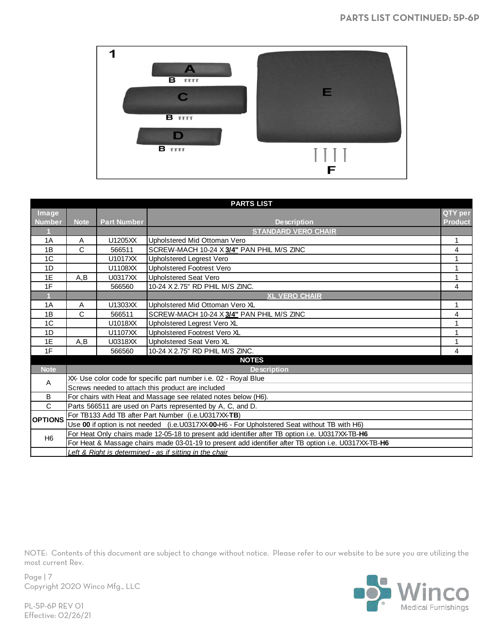

|                | <b>PARTS LIST</b> |                    |                                                                                                      |                |  |
|----------------|-------------------|--------------------|------------------------------------------------------------------------------------------------------|----------------|--|
| Image          |                   |                    |                                                                                                      | QTY per        |  |
| <b>Number</b>  | <b>Note</b>       | <b>Part Number</b> | <b>Description</b>                                                                                   | <b>Product</b> |  |
|                |                   |                    | <b>STANDARD VERO CHAIR</b>                                                                           |                |  |
| 1A             | Α                 | U1205XX            | Upholstered Mid Ottoman Vero                                                                         | 1              |  |
| 1B             | $\mathsf{C}$      | 566511             | SCREW-MACH 10-24 X 3/4" PAN PHIL M/S ZINC                                                            | 4              |  |
| 1 <sup>C</sup> |                   | U1017XX            | Upholstered Legrest Vero                                                                             | 1              |  |
| 1D             |                   | U1108XX            | <b>Upholstered Footrest Vero</b>                                                                     |                |  |
| 1E             | A,B               | U0317XX            | <b>Upholstered Seat Vero</b>                                                                         | $\mathbf{1}$   |  |
| 1F             |                   | 566560             | 10-24 X 2.75" RD PHIL M/S ZINC.                                                                      | 4              |  |
|                |                   |                    | <b>XL VERO CHAIR</b>                                                                                 |                |  |
| 1A             | A                 | U1303XX            | Upholstered Mid Ottoman Vero XL                                                                      | 1              |  |
| 1B             | C                 | 566511             | SCREW-MACH 10-24 X 3/4" PAN PHIL M/S ZINC                                                            | 4              |  |
| 1C             |                   | U1018XX            | Upholstered Legrest Vero XL                                                                          |                |  |
| 1D             |                   | U1107XX            | Upholstered Footrest Vero XL                                                                         | 1              |  |
| 1E             | A,B               | U0318XX            | Upholstered Seat Vero XL                                                                             |                |  |
| 1F             |                   | 566560             | 10-24 X 2.75" RD PHIL M/S ZINC.                                                                      | 4              |  |
|                |                   |                    | <b>NOTES</b>                                                                                         |                |  |
| <b>Note</b>    |                   |                    | <b>Description</b>                                                                                   |                |  |
| Α              |                   |                    | XX- Use color code for specific part number i.e. 02 - Royal Blue                                     |                |  |
|                |                   |                    | Screws needed to attach this product are included                                                    |                |  |
| B              |                   |                    | For chairs with Heat and Massage see related notes below (H6).                                       |                |  |
| $\mathsf{C}$   |                   |                    | Parts 566511 are used on Parts represented by A, C, and D.                                           |                |  |
| <b>OPTIONS</b> |                   |                    | For TB133 Add TB after Part Number (i.e.U0317XX-TB)                                                  |                |  |
|                |                   |                    | Use 00 if option is not needed (i.e.U0317XX-00-H6 - For Upholstered Seat without TB with H6)         |                |  |
| H <sub>6</sub> |                   |                    | For Heat Only chairs made 12-05-18 to present add identifier after TB option i.e. U0317XX-TB-H6      |                |  |
|                |                   |                    | For Heat & Massage chairs made 03-01-19 to present add identifier after TB option i.e. U0317XX-TB-H6 |                |  |
|                |                   |                    | Left & Right is determined - as if sitting in the chair                                              |                |  |



Page | 7 Copyright 2020 Winco Mfg., LLC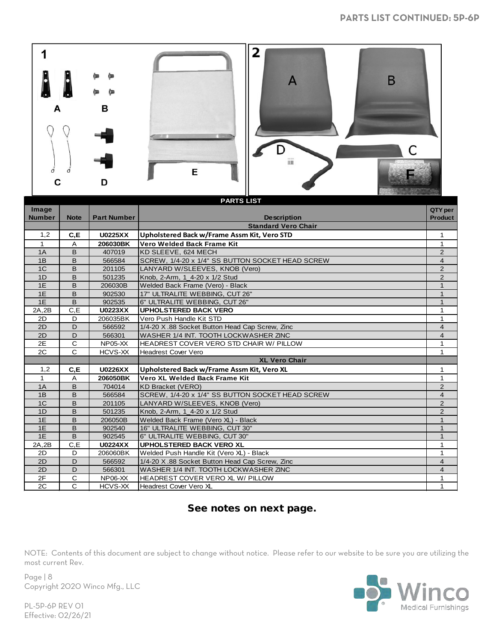

| <b>PARTS LIST</b> |                |                    |                                                  |                |  |
|-------------------|----------------|--------------------|--------------------------------------------------|----------------|--|
| Image             |                |                    |                                                  | QTY per        |  |
| <b>Number</b>     | <b>Note</b>    | <b>Part Number</b> | <b>Description</b>                               | <b>Product</b> |  |
|                   |                |                    | <b>Standard Vero Chair</b>                       |                |  |
| 1,2               | C, E           | <b>U0225XX</b>     | Upholstered Back w/Frame Assm Kit, Vero STD      | 1              |  |
| 1                 | Α              | 206030BK           | Vero Welded Back Frame Kit                       | 1              |  |
| 1A                | B              | 407019             | KD SLEEVE, 624 MECH                              | 2              |  |
| 1B                | B              | 566584             | SCREW, 1/4-20 x 1/4" SS BUTTON SOCKET HEAD SCREW | $\overline{4}$ |  |
| 1 <sup>C</sup>    | B              | 201105             | LANYARD W/SLEEVES, KNOB (Vero)                   | $\overline{2}$ |  |
| 1D                | B              | 501235             | Knob, 2-Arm, 1 4-20 x 1/2 Stud                   | $\overline{2}$ |  |
| 1E                | B              | 206030B            | Welded Back Frame (Vero) - Black                 | 1              |  |
| 1E                | B              | 902530             | 17" ULTRALITE WEBBING, CUT 26"                   | $\mathbf{1}$   |  |
| 1E                | B              | 902535             | 6" ULTRALITE WEBBING, CUT 26"                    | $\mathbf{1}$   |  |
| 2A, 2B            | C, E           | <b>U0223XX</b>     | <b>UPHOLSTERED BACK VERO</b>                     | 1              |  |
| 2D                | D              | 206035BK           | Vero Push Handle Kit STD                         | 1              |  |
| 2D                | D              | 566592             | 1/4-20 X.88 Socket Button Head Cap Screw, Zinc   | $\overline{4}$ |  |
| 2D                | D              | 566301             | WASHER 1/4 INT. TOOTH LOCKWASHER ZINC            | 4              |  |
| 2E                | С              | $NP05-XX$          | HEADREST COVER VERO STD CHAIR W/ PILLOW          | 1              |  |
| 2C                | C              | HCVS-XX            | <b>Headrest Cover Vero</b>                       | 1              |  |
|                   |                |                    | <b>XL Vero Chair</b>                             |                |  |
| 1,2               | C, E           | <b>U0226XX</b>     | Upholstered Back w/Frame Assm Kit, Vero XL       | 1              |  |
| 1                 | Α              | 206050BK           | Vero XL Welded Back Frame Kit                    | 1              |  |
| 1A                | B              | 704014             | <b>KD Bracket (VERO)</b>                         | $\overline{2}$ |  |
| 1B                | B              | 566584             | SCREW, 1/4-20 x 1/4" SS BUTTON SOCKET HEAD SCREW | 4              |  |
| 1 <sup>C</sup>    | B              | 201105             | LANYARD W/SLEEVES, KNOB (Vero)                   | $\overline{2}$ |  |
| 1D                | B              | 501235             | Knob, 2-Arm, 1 4-20 x 1/2 Stud                   | $\overline{2}$ |  |
| 1E                | B              | 206050B            | Welded Back Frame (Vero XL) - Black              | $\mathbf{1}$   |  |
| 1E                | B              | 902540             | 16" ULTRALITE WEBBING, CUT 30"                   | $\mathbf{1}$   |  |
| 1E                | $\overline{B}$ | 902545             | 6" ULTRALITE WEBBING, CUT 30"                    | $\mathbf{1}$   |  |
| 2A,2B             | C, E           | <b>U0224XX</b>     | <b>UPHOLSTERED BACK VERO XL</b>                  | 1              |  |
| 2D                | D              | 206060BK           | Welded Push Handle Kit (Vero XL) - Black         | 1              |  |
| 2D                | D              | 566592             | 1/4-20 X.88 Socket Button Head Cap Screw, Zinc   | 4              |  |
| 2D                | D              | 566301             | WASHER 1/4 INT. TOOTH LOCKWASHER ZINC            | $\overline{4}$ |  |
| 2F                | С              | <b>NP06-XX</b>     | HEADREST COVER VERO XL W/ PILLOW                 | 1              |  |
| 2C                | C              | HCVS-XX            | Headrest Cover Vero XL                           | 1              |  |

### See notes on next page.

NOTE: Contents of this document are subject to change without notice. Please refer to our website to be sure you are utilizing the most current Rev.



Page | 8 Copyright 2020 Winco Mfg., LLC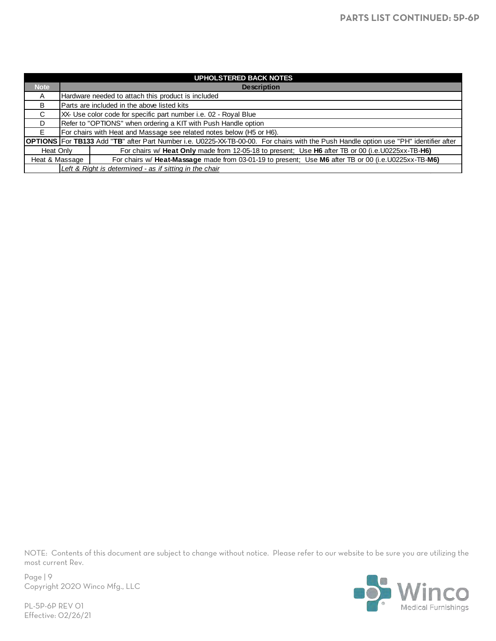|                | <b>UPHOLSTERED BACK NOTES</b>                                                                                                                |
|----------------|----------------------------------------------------------------------------------------------------------------------------------------------|
| <b>Note</b>    | <b>Description</b>                                                                                                                           |
| A              | Hardware needed to attach this product is included                                                                                           |
| B              | Parts are included in the above listed kits                                                                                                  |
| C.             | XX- Use color code for specific part number i.e. 02 - Royal Blue                                                                             |
| D.             | Refer to "OPTIONS" when ordering a KIT with Push Handle option                                                                               |
| F.             | For chairs with Heat and Massage see related notes below (H5 or H6).                                                                         |
|                | <b>OPTIONS</b> For TB133 Add "TB" after Part Number i.e. U0225-XX-TB-00-00. For chairs with the Push Handle option use "PH" identifier after |
| Heat Only      | For chairs w/ Heat Only made from 12-05-18 to present: Use H6 after TB or 00 (i.e. U0225xx-TB-H6)                                            |
| Heat & Massage | For chairs w/ Heat-Massage made from 03-01-19 to present; Use M6 after TB or 00 (i.e. U0225xx-TB-M6)                                         |
|                | Left & Right is determined - as if sitting in the chair                                                                                      |

Page | 9 Copyright 2020 Winco Mfg., LLC

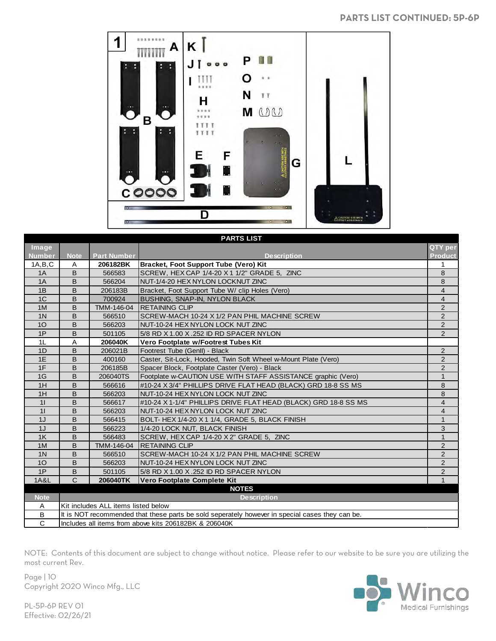#### **PARTS LIST CONTINUED: 5P-6P**



| <b>PARTS LIST</b> |              |                                     |                                                                                                 |                |  |
|-------------------|--------------|-------------------------------------|-------------------------------------------------------------------------------------------------|----------------|--|
| Image             |              |                                     |                                                                                                 | QTY per        |  |
| <b>Number</b>     | <b>Note</b>  | <b>Part Number</b>                  | <b>Description</b>                                                                              | <b>Product</b> |  |
| 1A.B.C            | A            | 206182BK                            | Bracket, Foot Support Tube (Vero) Kit                                                           | 1              |  |
| 1A                | B            | 566583                              | SCREW, HEX CAP 1/4-20 X 1 1/2" GRADE 5, ZINC                                                    | 8              |  |
| 1A                | B            | 566204                              | NUT-1/4-20 HEX NYLON LOCKNUT ZINC                                                               | 8              |  |
| 1B                | B            | 206183B                             | Bracket, Foot Support Tube W/ clip Holes (Vero)                                                 | 4              |  |
| 1 <sup>C</sup>    | B            | 700924                              | <b>BUSHING, SNAP-IN, NYLON BLACK</b>                                                            | $\overline{4}$ |  |
| 1M                | B            | TMM-146-04                          | <b>RETAINING CLIP</b>                                                                           | $\overline{2}$ |  |
| 1 <sup>N</sup>    | B            | 566510                              | SCREW-MACH 10-24 X 1/2 PAN PHIL MACHINE SCREW                                                   | $\overline{2}$ |  |
| 10                | B            | 566203                              | NUT-10-24 HEX NYLON LOCK NUT ZINC                                                               | $\overline{2}$ |  |
| 1P                | B            | 501105                              | 5/8 RD X 1.00 X .252 ID RD SPACER NYLON                                                         | $\overline{2}$ |  |
| 1L                | A            | 206040K                             | Vero Footplate w/Footrest Tubes Kit                                                             |                |  |
| 1D                | B            | 206021B                             | Footrest Tube (GenII) - Black                                                                   | 2              |  |
| 1E                | B            | 400160                              | Caster, Sit-Lock, Hooded, Twin Soft Wheel w-Mount Plate (Vero)                                  | $\overline{2}$ |  |
| 1F                | B            | 206185B                             | Spacer Block, Footplate Caster (Vero) - Black                                                   | $\overline{2}$ |  |
| 1G                | B            | 206040TS                            | Footplate w-CAUTION USE WITH STAFF ASSISTANCE graphic (Vero)                                    | $\mathbf{1}$   |  |
| 1H                | B            | 566616                              | #10-24 X 3/4" PHILLIPS DRIVE FLAT HEAD (BLACK) GRD 18-8 SS MS                                   | 8              |  |
| 1H                | B            | 566203                              | NUT-10-24 HEX NYLON LOCK NUT ZINC                                                               | 8              |  |
| 11                | B            | 566617                              | #10-24 X 1-1/4" PHILLIPS DRIVE FLAT HEAD (BLACK) GRD 18-8 SS MS                                 | $\overline{4}$ |  |
| 11                | B            | 566203                              | NUT-10-24 HEX NYLON LOCK NUT ZINC                                                               | $\overline{4}$ |  |
| 1J                | B            | 566415                              | BOLT-HEX 1/4-20 X 1 1/4, GRADE 5, BLACK FINISH                                                  | $\mathbf{1}$   |  |
| 1J                | B            | 566223                              | 1/4-20 LOCK NUT, BLACK FINISH                                                                   | 3              |  |
| 1K                | B            | 566483                              | SCREW, HEX CAP 1/4-20 X 2" GRADE 5, ZINC                                                        | $\mathbf{1}$   |  |
| 1M                | B            | TMM-146-04                          | <b>RETAINING CLIP</b>                                                                           | $\overline{2}$ |  |
| 1 <sup>N</sup>    | B            | 566510                              | SCREW-MACH 10-24 X 1/2 PAN PHIL MACHINE SCREW                                                   | $\overline{2}$ |  |
| 10 <sup>°</sup>   | B            | 566203                              | NUT-10-24 HEX NYLON LOCK NUT ZINC                                                               | $\overline{2}$ |  |
| 1P                | B            | 501105                              | 5/8 RD X 1.00 X .252 ID RD SPACER NYLON                                                         | $\overline{2}$ |  |
| <b>1A&amp;L</b>   | $\mathsf{C}$ | 206040TK                            | Vero Footplate Complete Kit                                                                     | $\mathbf{1}$   |  |
|                   |              |                                     | <b>NOTES</b>                                                                                    |                |  |
| <b>Note</b>       |              |                                     | <b>Description</b>                                                                              |                |  |
| A                 |              | Kit includes ALL items listed below |                                                                                                 |                |  |
| B                 |              |                                     | It is NOT recommended that these parts be sold seperately however in special cases they can be. |                |  |
| $\mathsf{C}$      |              |                                     | Includes all items from above kits 206182BK & 206040K                                           |                |  |

NOTE: Contents of this document are subject to change without notice. Please refer to our website to be sure you are utilizing the most current Rev.

Page | 10 Copyright 2020 Winco Mfg., LLC

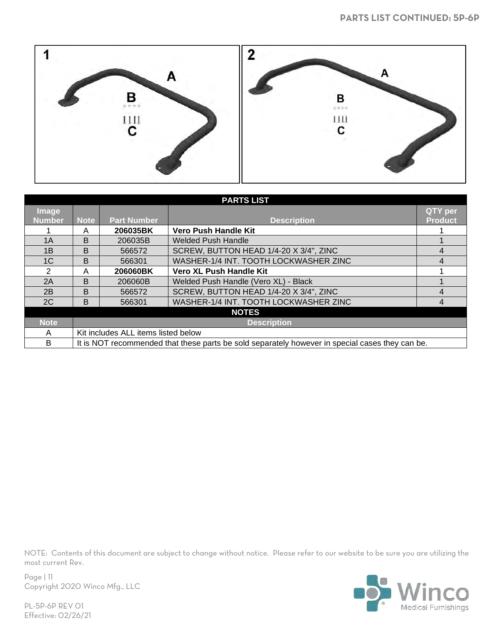

|                | <b>PARTS LIST</b> |                                     |                                                                                                 |                |  |  |  |
|----------------|-------------------|-------------------------------------|-------------------------------------------------------------------------------------------------|----------------|--|--|--|
| <b>Image</b>   |                   |                                     |                                                                                                 | QTY per        |  |  |  |
| <b>Number</b>  | <b>Note</b>       | <b>Part Number</b>                  | <b>Description</b>                                                                              | <b>Product</b> |  |  |  |
|                | A                 | 206035BK                            | Vero Push Handle Kit                                                                            |                |  |  |  |
| 1A             | B                 | 206035B                             | <b>Welded Push Handle</b>                                                                       |                |  |  |  |
| 1B             | B                 | 566572                              | SCREW, BUTTON HEAD 1/4-20 X 3/4", ZINC                                                          | 4              |  |  |  |
| 1 <sup>C</sup> | B                 | 566301                              | WASHER-1/4 INT. TOOTH LOCKWASHER ZINC                                                           | 4              |  |  |  |
| 2              | A                 | 206060BK                            | Vero XL Push Handle Kit                                                                         |                |  |  |  |
| 2A             | B                 | 206060B                             | Welded Push Handle (Vero XL) - Black                                                            |                |  |  |  |
| 2B             | B                 | 566572                              | SCREW, BUTTON HEAD 1/4-20 X 3/4", ZINC                                                          | 4              |  |  |  |
| 2C             | B                 | 566301                              | WASHER-1/4 INT. TOOTH LOCKWASHER ZINC                                                           | 4              |  |  |  |
|                |                   |                                     | <b>NOTES</b>                                                                                    |                |  |  |  |
| <b>Note</b>    |                   |                                     | <b>Description</b>                                                                              |                |  |  |  |
| A              |                   | Kit includes ALL items listed below |                                                                                                 |                |  |  |  |
| B              |                   |                                     | It is NOT recommended that these parts be sold separately however in special cases they can be. |                |  |  |  |



Page | 11 Copyright 2020 Winco Mfg., LLC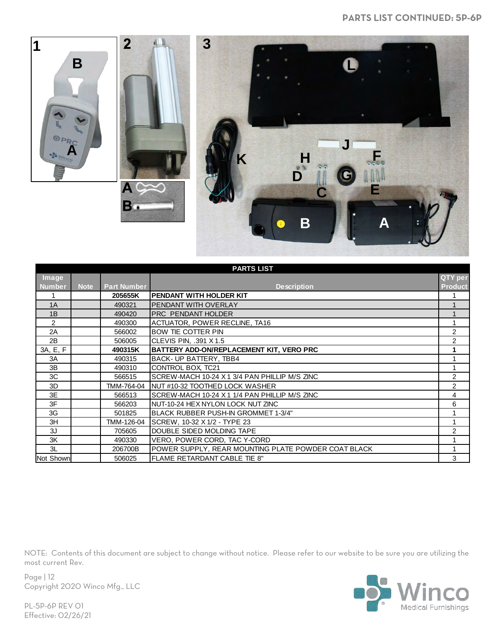

|               | <b>PARTS LIST</b> |                    |                                                     |                |  |
|---------------|-------------------|--------------------|-----------------------------------------------------|----------------|--|
| Image         |                   |                    |                                                     | QTY per        |  |
| <b>Number</b> | <b>Note</b>       | <b>Part Number</b> | <b>Description</b>                                  | <b>Product</b> |  |
| 1             |                   | 205655K            | PENDANT WITH HOLDER KIT                             |                |  |
| 1A            |                   | 490321             | <b>PENDANT WITH OVERLAY</b>                         |                |  |
| 1B            |                   | 490420             | <b>PRC PENDANT HOLDER</b>                           | 1              |  |
| 2             |                   | 490300             | ACTUATOR, POWER RECLINE, TA16                       | 1              |  |
| 2A            |                   | 566002             | BOW TIE COTTER PIN                                  | $\overline{2}$ |  |
| 2B            |                   | 506005             | CLEVIS PIN, .391 X 1.5                              | 2              |  |
| 3A, E, F      |                   | 490315K            | BATTERY ADD-ON/REPLACEMENT KIT, VERO PRC            | 1              |  |
| 3A            |                   | 490315             | BACK- UP BATTERY, TBB4                              |                |  |
| 3B            |                   | 490310             | CONTROL BOX, TC21                                   |                |  |
| 3C            |                   | 566515             | SCREW-MACH 10-24 X 1 3/4 PAN PHILLIP M/S ZINC       | $\overline{2}$ |  |
| 3D            |                   | TMM-764-04         | NUT #10-32 TOOTHED LOCK WASHER                      | 2              |  |
| 3E            |                   | 566513             | SCREW-MACH 10-24 X 1 1/4 PAN PHILLIP M/S ZINC       | 4              |  |
| 3F            |                   | 566203             | NUT-10-24 HEX NYLON LOCK NUT ZINC                   | 6              |  |
| 3G            |                   | 501825             | <b>BLACK RUBBER PUSH-IN GROMMET 1-3/4"</b>          |                |  |
| 3H            |                   | TMM-126-04         | SCREW, 10-32 X 1/2 - TYPE 23                        |                |  |
| 3J            |                   | 705605             | DOUBLE SIDED MOLDING TAPE                           | $\overline{2}$ |  |
| 3K            |                   | 490330             | VERO, POWER CORD, TAC Y-CORD                        |                |  |
| 3L            |                   | 206700B            | POWER SUPPLY, REAR MOUNTING PLATE POWDER COAT BLACK |                |  |
| Not Shown     |                   | 506025             | <b>FLAME RETARDANT CABLE TIE 8"</b>                 | 3              |  |



Page | 12 Copyright 2020 Winco Mfg., LLC